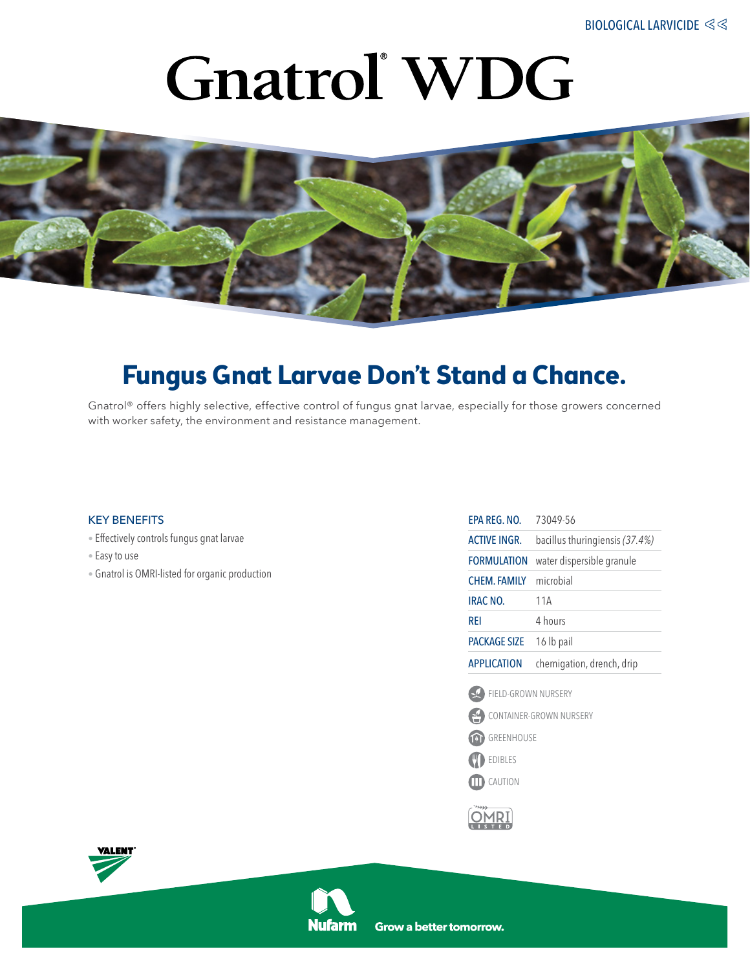# **Gnatrol** WDG



### **Fungus Gnat Larvae Don't Stand a Chance.**

Gnatrol® offers highly selective, effective control of fungus gnat larvae, especially for those growers concerned with worker safety, the environment and resistance management.

#### key benefits

- Effectively controls fungus gnat larvae
- Easy to use
- Gnatrol is OMRI-listed for organic production

| EPA REG. NO.            | 73049-56                       |
|-------------------------|--------------------------------|
| <b>ACTIVE INGR.</b>     | bacillus thuringiensis (37.4%) |
| <b>FORMULATION</b>      | water dispersible granule      |
| <b>CHEM. FAMILY</b>     | microbial                      |
| IRAC NO.                | 11A                            |
| rei                     | 4 hours                        |
| <b>PACKAGE SIZE</b>     | 16 lb pail                     |
| <b>APPLICATION</b>      | chemigation, drench, drip      |
| FIELD-GROWN NURSERY     |                                |
| CONTAINER-GROWN NURSERY |                                |
| GREENHOUSE<br>മ         |                                |
| <b>EDIBLES</b>          |                                |
| CAUTION<br>Ⅲ            |                                |
|                         |                                |